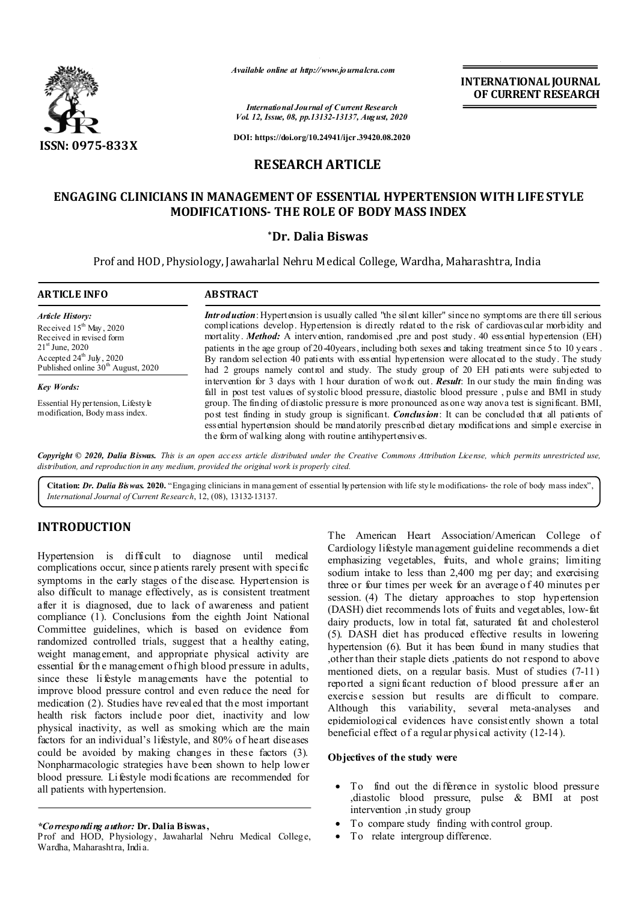

*Available online at http://www.journalcra.com*

*International Journal of Current Research Vol. 12, Issue, 08, pp.13132-13137, August, 2020* **INTERNATIONAL JOURNAL OF CURRENT RESEARCH**

**DOI: https://doi.org/10.24941/ijcr.39420.08.2020**

# **RESEARCH ARTICLE**

# **ENGAGING CLINICIANS IN MANAGEMENT OF ESSENTIAL HYPERTENSION WITH LIFE STYLE MODIFICATIONS- THE ROLE OF BODY MASS INDEX**

## **\*Dr. Dalia Biswas**

Prof and HOD, Physiology, Jawaharlal Nehru Medical College, Wardha, Maharashtra, India

| <b>ARTICLE INFO</b>                                                                                                                                                                                    | <b>ABSTRACT</b>                                                                                                                                                                                                                                                                                                                                                                                                                                                                                                                                                                                                                               |
|--------------------------------------------------------------------------------------------------------------------------------------------------------------------------------------------------------|-----------------------------------------------------------------------------------------------------------------------------------------------------------------------------------------------------------------------------------------------------------------------------------------------------------------------------------------------------------------------------------------------------------------------------------------------------------------------------------------------------------------------------------------------------------------------------------------------------------------------------------------------|
| <b>Article History:</b><br>Received $15th$ May, 2020<br>Received in revised form<br>$21^{\rm st}$ June, 2020<br>Accepted $24^{\text{th}}$ July, 2020<br>Published online 30 <sup>th</sup> August, 2020 | <b>Introduction:</b> Hypertension is usually called "the silent killer" since no symptoms are there till serious<br>complications develop. Hypertension is directly related to the risk of cardiovas cular morbidity and<br>mortality. Method: A intervention, randomised ,pre and post study. 40 essential hypertension (EH)<br>patients in the age group of 20-40 years, including both sexes and taking treatment since 5 to 10 years.<br>By random selection 40 patients with essential hypertension were allocated to the study. The study<br>had 2 groups namely control and study. The study group of 20 EH patients were subjected to |
| <b>Key Words:</b>                                                                                                                                                                                      | intervention for 3 days with 1 hour duration of work out. <b>Result:</b> In our study the main finding was<br>fall in post test values of systolic blood pressure, diastolic blood pressure, pulse and BMI in study                                                                                                                                                                                                                                                                                                                                                                                                                           |
| Essential Hypertension, Lifesty le<br>modification, Body mass index.                                                                                                                                   | group. The finding of diastolic pressure is more pronounced as one way anova test is significant. BMI,<br>post test finding in study group is significant. <i>Conclusion</i> : It can be concluded that all patients of<br>essential hypertension should be mandatorily prescribed dietary modifications and simple exercise in<br>the form of walking along with routine antihypertensives.                                                                                                                                                                                                                                                  |

Copyright © 2020, Dalia Biswas. This is an open access article distributed under the Creative Commons Attribution License, which permits unrestricted use, *distribution, and reproduction in any medium, provided the original work is properly cited.*

**Citation:** *Dr. Dalia Biswas.* **2020.** "Engaging clinicians in management of essential hypertension with life style modifications- the role of body mass index", *International Journal of Current Research*, 12, (08), 13132-13137.

# **INTRODUCTION**

Hypertension is difficult to diagnose until medical complications occur, since p atients rarely present with specific symptoms in the early stages of the disease. Hypertension is also difficult to manage effectively, as is consistent treatment after it is diagnosed, due to lack of awareness and patient compliance (1). Conclusions from the eighth Joint National Committee guidelines, which is based on evidence from randomized controlled trials, suggest that a healthy eating, weight management, and appropriate physical activity are essential for the management of high blood pressure in adults, since these li festyle managements have the potential to improve blood pressure control and even reduce the need for medication (2). Studies have revealed that the most important health risk factors include poor diet, inactivity and low physical inactivity, as well as smoking which are the main factors for an individual's lifestyle, and 80% of heart diseases could be avoided by making changes in these factors (3). Nonpharmacologic strategies have been shown to help lower blood pressure. Lifestyle modi fications are recommended for all patients with hypertension.

### *\*Corresponding author:* **Dr. Dalia Biswas,**

Prof and HOD, Physiology, Jawaharlal Nehru Medical College, Wardha, Maharashtra, India.

The American Heart Association/American College of Cardiology lifestyle management guideline recommends a diet emphasizing vegetables, fruits, and whole grains; limiting sodium intake to less than 2,400 mg per day; and exercising three or four times per week for an average o f 40 minutes per session. (4) The dietary approaches to stop hypertension (DASH) diet recommends lots of fruits and vegetables, low-fat dairy products, low in total fat, saturated fat and cholesterol (5). DASH diet has produced effective results in lowering hypertension (6). But it has been found in many studies that ,other than their staple diets ,patients do not respond to above mentioned diets, on a regular basis. Must of studies (7-11) reported a signi ficant reduction of blood pressure after an exercis e session but results are difficult to compare. Although this variability, several meta-analyses and epidemiological evidences have consistently shown a total beneficial effect of a regular physical activity (12-14).

## **Objectives of the study were**

- To find out the difference in systolic blood pressure ,diastolic blood pressure, pulse & BMI at post intervention ,in study group
- To compare study finding with control group.
- To relate intergroup difference.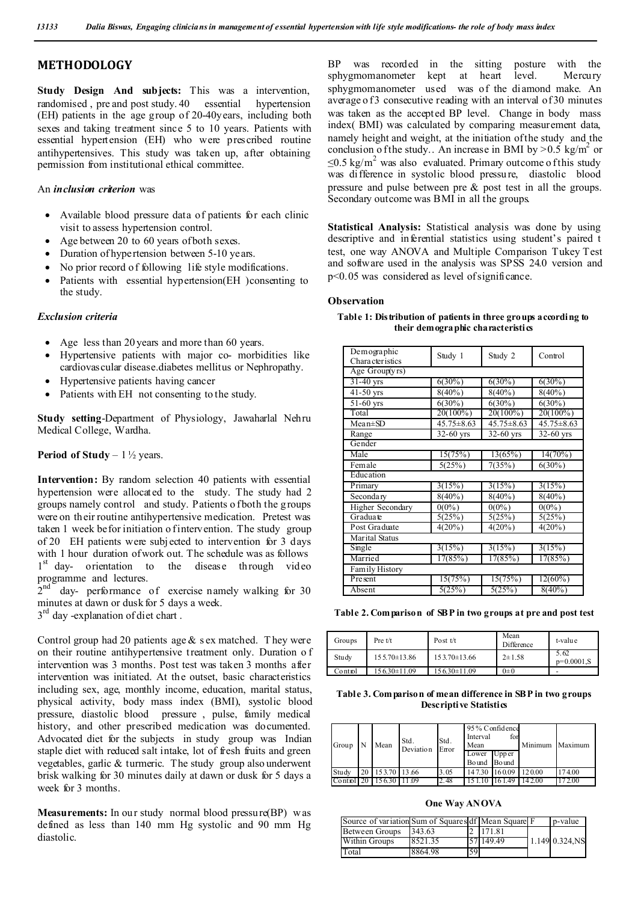## **METHODOLOGY**

**Study Design And subjects:** This was a intervention, randomised , pre and post study. 40 essential hypertension (EH) patients in the age group of 20-40years, including both sexes and taking treatment since 5 to 10 years. Patients with essential hypertension (EH) who were prescribed routine antihypertensives. This study was taken up, after obtaining permission from institutional ethical committee.

### An *inclusion criterion* was

- Available blood pressure data of patients for each clinic visit to assess hypertension control.
- Age between 20 to 60 years of both sexes.
- Duration of hypertension between 5-10 years.
- No prior record of following life style modifications.
- Patients with essential hypertension(EH )consenting to the study.

#### *Exclusion criteria*

- Age less than 20 years and more than 60 years.
- Hypertensive patients with major co- morbidities like cardiovascular disease.diabetes mellitus or Nephropathy.
- Hypertensive patients having cancer
- Patients with EH not consenting to the study.

**Study setting**-Department of Physiology, Jawaharlal Nehru Medical College, Wardha.

**Period of Study** – 1 <sup>1</sup>/<sub>2</sub> years.

**Intervention:** By random selection 40 patients with essential hypertension were allocated to the study. The study had 2 groups namely control and study. Patients o f both the groups were on their routine antihypertensive medication. Pretest was taken 1 week befor initiation o fintervention. The study group of 20 EH patients were subj ected to intervention for 3 days with 1 hour duration of work out. The schedule was as follows 1<sup>st</sup> day- orientation to the disease through video programme and lectures.

 $2<sup>nd</sup>$  day- performance of exercise namely walking for 30 minutes at dawn or dusk for 5 days a week.

3<sup>rd</sup> day -explanation of diet chart.

Control group had 20 patients age  $&$  s ex matched. They were on their routine antihypertensive treatment only. Duration o f intervention was 3 months. Post test was taken 3 months after intervention was initiated. At the outset, basic characteristics including sex, age, monthly income, education, marital status, physical activity, body mass index (BMI), systolic blood pressure, diastolic blood pressure , pulse, family medical history, and other prescribed medication was documented. Advocated diet for the subjects in study group was Indian staple diet with reduced salt intake, lot of fresh fruits and green vegetables, garlic & turmeric. The study group also underwent brisk walking for 30 minutes daily at dawn or dusk for 5 days a week for 3 months.

**Measurements:** In our study normal blood pressure(BP) w as defined as less than 140 mm Hg systolic and 90 mm Hg diastolic.

BP was recorded in the sitting posture with the sphygmomanometer kept at heart level. Mercury sphygmomanometer used was of the diamond make. An average of 3 consecutive reading with an interval of 30 minutes was taken as the accepted BP level. Change in body mass index( BMI) was calculated by comparing measurement data, namely height and weight, at the initiation of the study and the conclusion o f the study.. An increase in BMI by  $> 0.5$  kg/m<sup>2</sup> or  $\leq$ 0.5 kg/m<sup>2</sup> was also evaluated. Primary outcome o f this study was difference in systolic blood pressure, diastolic blood pressure and pulse between pre & post test in all the groups. Secondary outcome was BMI in all the groups.

**Statistical Analysis:** Statistical analysis was done by using descriptive and inferential statistics using student's paired t test, one way ANOVA and Multiple Comparison Tukey Test and software used in the analysis was SPSS 24.0 version and p<0.05 was considered as level of significance.

### **Observation**

| Demographic<br>Character istics | Study 1      | Study 2          | Control      |
|---------------------------------|--------------|------------------|--------------|
| Age Group(yrs)                  |              |                  |              |
| $31-40$ yrs                     | $6(30\%)$    | $6(30\%)$        | $6(30\%)$    |
| $41-50$ yrs                     | $8(40\%)$    | $8(40\%)$        | $8(40\%)$    |
| $\overline{51}$ -60 yrs         | $6(30\%)$    | $6(30\%)$        | $6(30\%)$    |
| Total                           | $20(100\%)$  | $20(100\%)$      | $20(100\%)$  |
| $Mean \pm SD$                   | 45.75 ± 8.63 | $45.75 \pm 8.63$ | 45.75 ± 8.63 |
| Range                           | 32-60 yrs    | $32-60$ yrs      | $32-60$ yrs  |
| Gender                          |              |                  |              |
| Male                            | 15(75%)      | 13(65%)          | 14(70%)      |
| Female                          | 5(25%)       | 7(35%)           | $6(30\%)$    |
| Education                       |              |                  |              |
| Primary                         | 3(15%)       | 3(15%)           | 3(15%)       |
| Secondary                       | $8(40\%)$    | $8(40\%)$        | $8(40\%)$    |
| Higher Secondary                | $0(0\%)$     | $0(0\%)$         | $0(0\%)$     |
| Graduate                        | 5(25%)       | 5(25%)           | 5(25%)       |
| Post Graduate                   | 4(20%)       | 4(20%)           | 4(20%)       |
| Marital Status                  |              |                  |              |
| Single                          | 3(15%)       | 3(15%)           | 3(15%)       |
| Married                         | 17(85%)      | 17(85%)          | 17(85%)      |
| Family History                  |              |                  |              |
| Present                         | 15(75%)      | 15(75%)          | $12(60\%)$   |
| Absent                          | 5(25%)       | 5(25%)           | $8(40\%)$    |
|                                 |              |                  |              |

**Table 1: Distribution of patients in three groups according to their demographic characteristics**

**Table 2. Comparison of SBP in two groups at pre and post test**

| Groups  | Pre $t/t$          | Post $t/t$         | Mean<br>Difference | t-value              |
|---------|--------------------|--------------------|--------------------|----------------------|
| Study   | 155.70±13.86       | $153.70 \pm 13.66$ | $2 \pm 1.58$       | 5.62<br>$p=0.0001.S$ |
| Control | $156.30 \pm 11.09$ | 156.30±11.09       | $0\pm 0$           |                      |

**Table 3. Comparison of mean difference in SBP in two groups Descriptive Statistics**

| Group                   | Mean            | Std.<br>Deviation | Std.<br>Error | 95% Confidence<br>Interval<br>Mean<br>Lower Upper<br>Bound Bound | for                  | Minimum Maximum |        |
|-------------------------|-----------------|-------------------|---------------|------------------------------------------------------------------|----------------------|-----------------|--------|
| Study                   | 20 153.70 13.66 |                   | 3.05          |                                                                  | 147.30 160.09 120.00 |                 | 174.00 |
| Control 20 156.30 11 09 |                 |                   | 2.48          |                                                                  | 161.49               | 142.00          | 172.00 |

**One Way ANOVA**

| Source of variation Sum of Squares df Mean Square F |         |    |           | p-value        |
|-----------------------------------------------------|---------|----|-----------|----------------|
| Between Groups                                      | 343.63  |    | 171.81    |                |
| Within Groups                                       | 8521.35 |    | 57 149.49 | 1.149 0.324.NS |
| Total                                               | 8864.98 | 59 |           |                |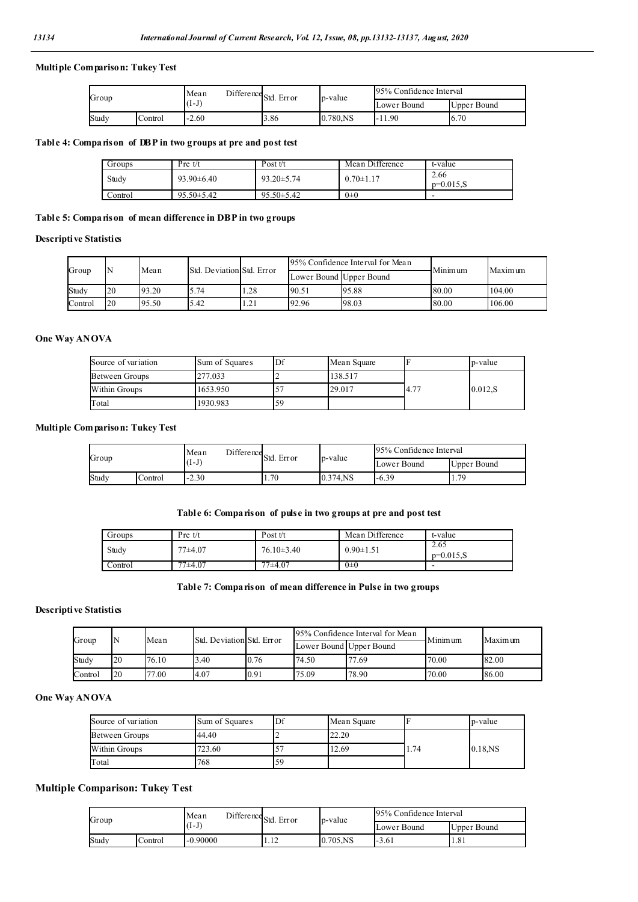## **Multiple Comparison: Tukey Test**

|  | Group |         | Mean                    | Difference Std.<br>Error |      | p-value  | 95% Confidence Interval |             |
|--|-------|---------|-------------------------|--------------------------|------|----------|-------------------------|-------------|
|  |       |         | $\sqrt{ }$<br>$(1 - J)$ |                          |      |          | Lower Bound             | Upper Bound |
|  | Studv | Control | 2.60                    |                          | 3.86 | 0.780,NS | 11.90                   | 6.70        |

## **Table 4: Comparison of DBP in two groups at pre and post test**

| Groups  | Pre t/t          | Post $t/t$       | Mean Difference | t-value                  |
|---------|------------------|------------------|-----------------|--------------------------|
| Study   | $93.90 \pm 6.40$ | $93.20 \pm 5.74$ | $0.70 \pm 1.17$ | 2.66<br>$p=0.015.S$      |
| Control | $95.50 \pm 5.42$ | $95.50 \pm 5.42$ | $0 \pm 0$       | $\overline{\phantom{a}}$ |

## **Table 5: Comparison of mean difference in DBP in two groups**

## **Descriptive Statistics**

| Group   |                 | Mean  | Std. Deviation Std. Error |      |                         | 95% Confidence Interval for Mean | Minimum | Maximum |
|---------|-----------------|-------|---------------------------|------|-------------------------|----------------------------------|---------|---------|
|         |                 |       |                           |      | Lower Bound Upper Bound |                                  |         |         |
| Study   | $\overline{20}$ | 93.20 | 5.74                      | .28  | 90.51                   | 95.88                            | 80.00   | 104.00  |
| Control | 20              | 95.50 | 5.42                      | 1.21 | 92.96                   | 98.03                            | 80.00   | 106.00  |

## **One Way ANOVA**

| Source of variation | Sum of Squares | Df | Mean Square |       | p-value |
|---------------------|----------------|----|-------------|-------|---------|
| Between Groups      | 277.033        |    | 138.517     |       |         |
| Within Groups       | 1653.950       |    | 29.017      | 14.77 | 0.012.S |
| Total               | 1930.983       | 59 |             |       |         |

## **Multiple Comparison: Tukey Test**

|       |         | Mean    | $\frac{1}{\sqrt{2}}$ Difference Std. Error |          | 95% Confidence Interval |             |
|-------|---------|---------|--------------------------------------------|----------|-------------------------|-------------|
| Group |         | $(I-I)$ |                                            | p-value  | Lower Bound             | Upper Bound |
| Study | Control | $-2.30$ | 1.70                                       | 0.374.NS | $-6.39$                 | 1.79        |

## **Table 6: Comparison of pulse in two groups at pre and post test**

| Groups  | Pre $t/t$   | Post $t/t$       | Mean Difference | t-value               |
|---------|-------------|------------------|-----------------|-----------------------|
| Study   | $77 + 4.07$ | $76.10 \pm 3.40$ | $0.90 \pm 1.51$ | 2.65<br>$p=0.015$ , S |
| Control | $77+4.07$   | 77±4.07          | $0\pm 0$        | -                     |

## **Table 7: Comparison of mean difference in Pulse in two groups**

#### **Descriptive Statistics**

| Group   |                 | Mean  | Std. Deviation Std. Error |      | 95% Confidence Interval for Mean |       | Minimum | Maximum |
|---------|-----------------|-------|---------------------------|------|----------------------------------|-------|---------|---------|
|         |                 |       |                           |      | Lower Bound Upper Bound          |       |         |         |
| Study   | $\overline{20}$ | 76.10 | 3.40                      | 0.76 | 74.50                            | 77.69 | 70.00   | 82.00   |
| Control | $\overline{20}$ | 77.00 | <b>4.07</b>               | 0.91 | 75.09                            | 78.90 | 70.00   | 86.00   |

## **One Way ANOVA**

| Source of variation | Sum of Squares | Df | Mean Square |      | p-value    |  |
|---------------------|----------------|----|-------------|------|------------|--|
| Between Groups      | 44.40          |    | 22.20       |      |            |  |
| Within Groups       | 723.60         |    | 12.69       | 1.74 | $0.18$ .NS |  |
| Total               | 768            | 59 |             |      |            |  |

## **Multiple Comparison: Tukey Test**

| Group |         | $\blacksquare$ Difference Std. Error<br>Mean |  |                     | p-value     | 95% Confidence Interval |             |
|-------|---------|----------------------------------------------|--|---------------------|-------------|-------------------------|-------------|
|       |         | (1-J)                                        |  |                     |             | Lower Bound             | Upper Bound |
| Study | Control | $-0.90000$                                   |  | $1^{\circ}$<br>1.14 | $0.705$ .NS | $-3.61$                 | 1.81        |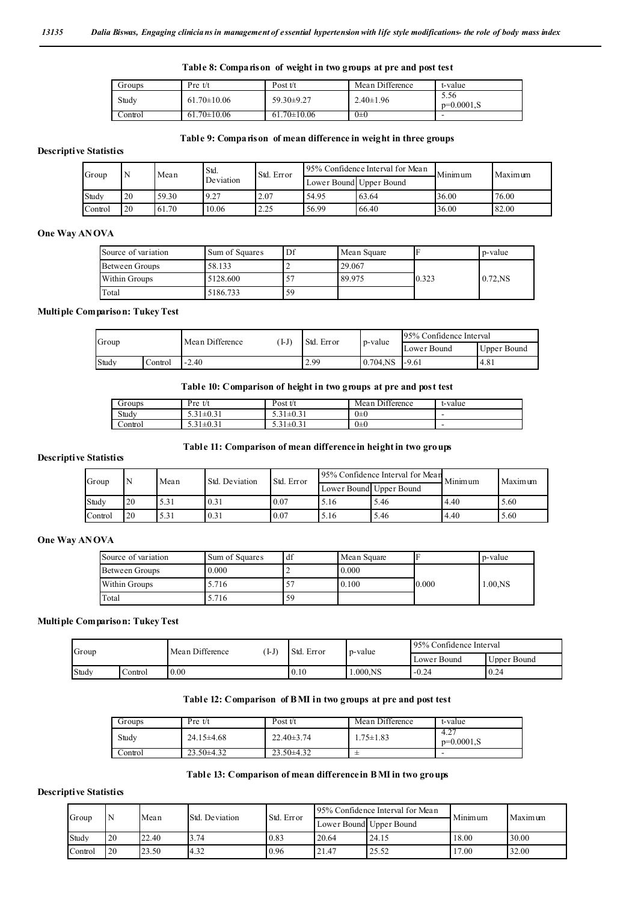## **Table 8: Comparison of weight in two groups at pre and post test**

| Groups   | Pre t/t               | Post $t/t$        | Mean Difference | t-value              |
|----------|-----------------------|-------------------|-----------------|----------------------|
| Study    | $61.70 \pm 10.06$     | 59.30±9.27        | $2.40 \pm 1.96$ | 5.56<br>$p=0.0001.S$ |
| .`ontrol | $70 \pm 10.06$<br>61. | $61.70 \pm 10.06$ | $0\pm 0$        | -                    |

#### **Table 9: Comparison of mean difference in weight in three groups**

## **Descriptive Statistics**

| Group   |    | Mean  | Std.      | Std. Error | 95% Confidence Interval for Mean |                         | Minimum | Maximum |  |
|---------|----|-------|-----------|------------|----------------------------------|-------------------------|---------|---------|--|
|         |    |       | Deviation |            |                                  | Lower Bound Upper Bound |         |         |  |
| Study   | 20 | 59.30 | 9.27      | 2.07       | 54.95                            | 63.64                   | 36.00   | 76.00   |  |
| Control | 20 | 61.70 | 10.06     | 2.25       | 56.99                            | 66.40                   | 36.00   | 82.00   |  |

#### **One Way ANOVA**

| Source of variation | Sum of Squares | Df<br>Mean Square |        |       | p-value    |
|---------------------|----------------|-------------------|--------|-------|------------|
| Between Groups      | 58.133         |                   | 29.067 |       |            |
| Within Groups       | 5128.600       |                   | 89.975 | 0.323 | $0.72$ .NS |
| Total               | 5186.733       | 59                |        |       |            |

#### **Multiple Comparison: Tukey Test**

| Group |       |         | Mean Difference  | $I-J$ | Std. Error |             | 95% Confidence Interval |      |
|-------|-------|---------|------------------|-------|------------|-------------|-------------------------|------|
|       |       |         |                  |       | p-value    | Lower Bound | Upper Bound             |      |
|       | Study | Control | 2.40<br>$\sim$ / |       | 2.99       | $0.704$ .NS | $-9.61$                 | 4.81 |

#### **Table 10: Comparison of height in two groups at pre and post test**

| Groups  | Pre<br>t/t           | Post $t/t$      | $D$ ifference<br>Mean | t-value |
|---------|----------------------|-----------------|-----------------------|---------|
| Study   | $1\pm 0.31$<br>ر. ر  | $5.31 \pm 0.31$ | $0\pm 0$              |         |
| Control | $1 \pm 0.31$<br>ر. ر | $5.31 \pm 0.31$ | $0\pm 0$              | -       |

#### **Table 11: Comparison of mean difference in height in two groups**

## **Descriptive Statistics**

| Group   |    | Mean | Std. Deviation | Std. Error |      | 95% Confidence Interval for Mean | Minimum | Maximum |  |
|---------|----|------|----------------|------------|------|----------------------------------|---------|---------|--|
|         |    |      |                |            |      | Lower Bound Upper Bound          |         |         |  |
| Study   | 20 | 5.31 | 0.31           | 0.07       | 5.16 | 5.46                             | 4.40    | 5.60    |  |
| Control | 20 | 5.31 | 0.31           | 0.07       | 5.16 | 5.46                             | 4.40    | 5.60    |  |

#### **One Way ANOVA**

| Source of variation | Sum of Squares | df | Mean Square |       | p-value    |  |
|---------------------|----------------|----|-------------|-------|------------|--|
| Between Groups      | 0.000          |    | 0.000       |       |            |  |
| Within Groups       | 5.716          |    | 0.100       | 0.000 | $1.00$ .NS |  |
| Total               | .716           | 59 |             |       |            |  |

#### **Multiple Comparison: Tukey Test**

| Group |         | Mean Difference | I-J) | Std. Error | p-value    | 95% Confidence Interval |             |
|-------|---------|-----------------|------|------------|------------|-------------------------|-------------|
|       |         |                 |      |            |            | Lower Bound             | Upper Bound |
| Study | Control | 0.00            |      | 0.10       | $.000$ .NS | $-0.24$                 | 0.24        |

#### **Table 12: Comparison of BMI in two groups at pre and post test**

| Groups  | $Pre$ t/t        | Post t/t         | Mean Difference | t-value              |
|---------|------------------|------------------|-----------------|----------------------|
| Study   | $24.15 \pm 4.68$ | $22.40 \pm 3.74$ | .75±1.83        | 4.27<br>$p=0.0001.S$ |
| Control | $23.50\pm4.32$   | $23.50\pm4.32$   |                 | -                    |

#### **Table 13: Comparison of mean difference in B MI in two groups**

### **Descriptive Statistics**

|  | Group   |    | Mean  | Std. Deviation | Std. Error |       | 95% Confidence Interval for Mean | Minimum | Maximum |
|--|---------|----|-------|----------------|------------|-------|----------------------------------|---------|---------|
|  |         |    |       |                |            |       | Lower Bound Upper Bound          |         |         |
|  | Study   | 20 | 22.40 | <i>5.74</i>    | 0.83       | 20.64 | 24.15                            | 18.00   | 30.00   |
|  | Control | 20 | 23.50 | 4.32           | 0.96       | 21.47 | 25.52                            | 17.00   | 32.00   |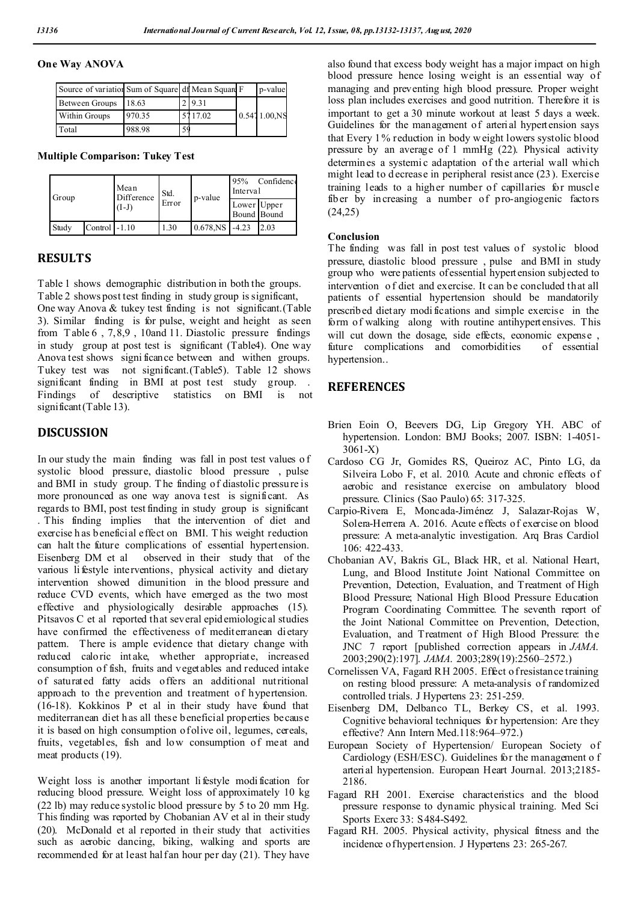## **One Way ANOVA**

| Source of variation Sum of Square di Mean Square F |        |    |         | p-value          |
|----------------------------------------------------|--------|----|---------|------------------|
| Between Groups                                     | 18.63  |    | 2 9.31  |                  |
| <b>Within Groups</b>                               | 970.35 |    | 5117.02 | $0.5471.00$ , NS |
| Total                                              | 988.98 | 59 |         |                  |

**Multiple Comparison: Tukey Test**

| Group |                            | Mean<br>Difference<br>(I-J) | Std.<br>Error | p-value                       | 95%<br>Confidence<br>Interval |      |
|-------|----------------------------|-----------------------------|---------------|-------------------------------|-------------------------------|------|
|       | Lower Upper<br>Bound Bound |                             |               |                               |                               |      |
| Study | Control $-1.10$            |                             | 1.30          | $0.678$ <sub>NS</sub> $-4.23$ |                               | 2.03 |

## **RESULTS**

Table 1 shows demographic distribution in both the groups. Table 2 shows post test finding in study group is significant, One way Anova & tukey test finding is not significant.(Table 3). Similar finding is for pulse, weight and height as seen from T able 6 , 7,8,9 , 10and 11. Diastolic pressure findings in study group at post test is significant (Table4). One way Anova test shows signi ficance between and withen groups. Tukey test was not significant.(Table5). Table 12 shows significant finding in BMI at post test study group. . Findings of descriptive statistics on BMI is not significant (Table 13).

## **DISCUSSION**

In our study the main finding was fall in post test values o f systolic blood pressure, diastolic blood pressure , pulse and BMI in study group. T he finding of diastolic pressure is more pronounced as one way anova test is significant. As regards to BMI, post test finding in study group is significant . This finding implies that the intervention of diet and exercise h as beneficial effect on BMI. T his weight reduction can halt the future complications of essential hypertension. Eisenberg DM et al observed in their study that of the various li festyle interventions, physical activity and dietary intervention showed dimunition in the blood pressure and reduce CVD events, which have emerged as the two most effective and physiologically desirable approaches (15). Pitsavos C et al reported that several epid emiological studies have confirmed the effectiveness of mediterranean dietary pattern. There is ample evidence that dietary change with reduced caloric int ake, whether appropriate, increased consumption of fish, fruits and vegetables and reduced intake of saturated fatty acids offers an additional nutritional approach to the prevention and treatment of hypertension. (16-18). Kokkinos P et al in their study have found that mediterranean diet h as all these beneficial properties because it is based on high consumption of olive oil, legumes, cereals, fruits, vegetables, fish and low consumption of meat and meat products (19).

Weight loss is another important li festyle modi fication for reducing blood pressure. Weight loss of approximately 10 kg (22 lb) may reduce systolic blood pressure by 5 to 20 mm Hg. This finding was reported by Chobanian AV et al in their study (20). McDonald et al reported in their study that activities such as aerobic dancing, biking, walking and sports are recommended for at least half an hour per day (21). They have

also found that excess body weight has a major impact on high blood pressure hence losing weight is an essential way of managing and preventing high blood pressure. Proper weight loss plan includes exercises and good nutrition. Therefore it is important to get a 30 minute workout at least 5 days a week. Guidelines for the management of arterial hypertension says that Every 1% reduction in body w eight lowers systolic blood pressure by an average of 1 mmHg (22). Physical activity determines a systemi c adaptation of the arterial wall which might lead to d ecrease in peripheral resist ance (23). Exercise training leads to a higher number of capillaries for muscle fiber by increasing a number of pro-angiogenic factors (24,25)

### **Conclusion**

The finding was fall in post test values of systolic blood pressure, diastolic blood pressure , pulse and BMI in study group who were patients of essential hypertension subjected to intervention o f diet and exercise. It can be concluded that all patients of essential hypertension should be mandatorily prescribed dietary modi fications and simple exercise in the form of walking along with routine antihypertensives. This will cut down the dosage, side effects, economic expense. future complications and comorbidities of essential hypertension..

## **REFERENCES**

- Brien Eoin O, Beevers DG, Lip Gregory YH. ABC of hypertension. London: BMJ Books; 2007. ISBN: 1-4051- 3061-X)
- Cardoso CG Jr, Gomides RS, Queiroz AC, Pinto LG, da Silveira Lobo F, et al. 2010. Acute and chronic effects of aerobic and resistance exercise on ambulatory blood pressure. Clinics (Sao Paulo) 65: 317-325.
- Carpio-Rivera E, Moncada-Jiménez J, Salazar-Rojas W, Solera-Herrera A. 2016. Acute effects of exercise on blood pressure: A meta-analytic investigation. Arq Bras Cardiol 106: 422-433.
- Chobanian AV, Bakris GL, Black HR, et al. National Heart, Lung, and Blood Institute Joint National Committee on Prevention, Detection, Evaluation, and Treatment of High Blood Pressure; National High Blood Pressure Education Program Coordinating Committee. The seventh report of the Joint National Committee on Prevention, Detection, Evaluation, and Treatment of High Blood Pressure: the JNC 7 report [published correction appears in *JAMA*. 2003;290(2):197]. *JAMA*. 2003;289(19):2560–2572.)
- Cornelissen VA, Fagard RH 2005. Effect o f resistance training on resting blood pressure: A meta-analysis of randomized controlled trials. J Hypertens 23: 251-259.
- Eisenberg DM, Delbanco TL, Berkey CS, et al. 1993. Cognitive behavioral techniques for hypertension: Are they effective? Ann Intern Med.118:964–972.)
- European Society of Hypertension/ European Society of Cardiology (ESH/ESC). Guidelines for the management o f arterial hypertension. European Heart Journal. 2013;2185- 2186.
- Fagard RH 2001. Exercise characteristics and the blood pressure response to dynamic physical training. Med Sci Sports Exerc 33: S484-S492.
- Fagard RH. 2005. Physical activity, physical fitness and the incidence of hypertension. J Hypertens 23: 265-267.